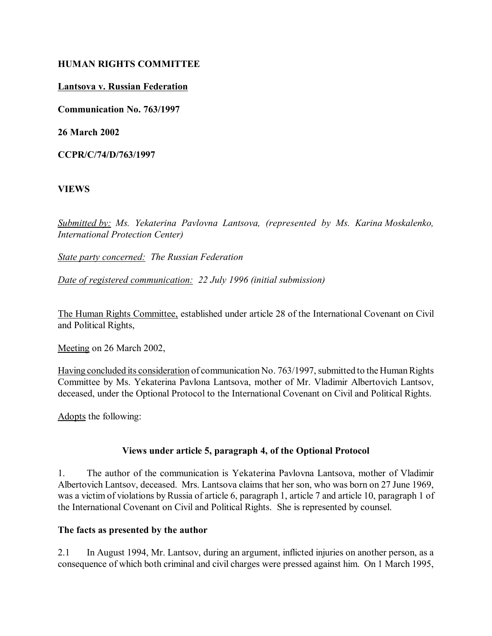### **HUMAN RIGHTS COMMITTEE**

### **Lantsova v. Russian Federation**

**Communication No. 763/1997**

**26 March 2002**

**CCPR/C/74/D/763/1997**

#### **VIEWS**

*Submitted by: Ms. Yekaterina Pavlovna Lantsova, (represented by Ms. Karina Moskalenko, International Protection Center)*

*State party concerned: The Russian Federation*

*Date of registered communication: 22 July 1996 (initial submission)*

The Human Rights Committee, established under article 28 of the International Covenant on Civil and Political Rights,

Meeting on 26 March 2002,

Having concluded its consideration of communication No. 763/1997, submitted to the Human Rights Committee by Ms. Yekaterina Pavlona Lantsova, mother of Mr. Vladimir Albertovich Lantsov, deceased, under the Optional Protocol to the International Covenant on Civil and Political Rights.

Adopts the following:

## **Views under article 5, paragraph 4, of the Optional Protocol**

1. The author of the communication is Yekaterina Pavlovna Lantsova, mother of Vladimir Albertovich Lantsov, deceased. Mrs. Lantsova claims that her son, who was born on 27 June 1969, was a victim of violations by Russia of article 6, paragraph 1, article 7 and article 10, paragraph 1 of the International Covenant on Civil and Political Rights. She is represented by counsel.

#### **The facts as presented by the author**

2.1 In August 1994, Mr. Lantsov, during an argument, inflicted injuries on another person, as a consequence of which both criminal and civil charges were pressed against him. On 1 March 1995,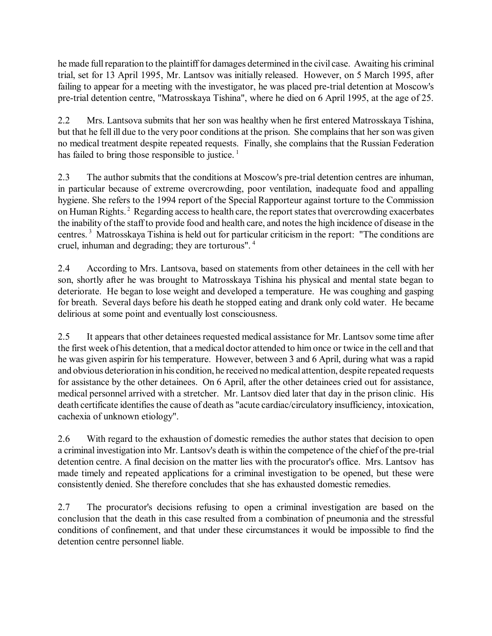he made full reparation to the plaintiff for damages determined in the civil case. Awaiting his criminal trial, set for 13 April 1995, Mr. Lantsov was initially released. However, on 5 March 1995, after failing to appear for a meeting with the investigator, he was placed pre-trial detention at Moscow's pre-trial detention centre, "Matrosskaya Tishina", where he died on 6 April 1995, at the age of 25.

2.2 Mrs. Lantsova submits that her son was healthy when he first entered Matrosskaya Tishina, but that he fell ill due to the very poor conditions at the prison. She complains that her son was given no medical treatment despite repeated requests. Finally, she complains that the Russian Federation has failed to bring those responsible to justice.<sup>1</sup>

2.3 The author submits that the conditions at Moscow's pre-trial detention centres are inhuman, in particular because of extreme overcrowding, poor ventilation, inadequate food and appalling hygiene. She refers to the 1994 report of the Special Rapporteur against torture to the Commission on Human Rights. 2 Regarding access to health care, the report states that overcrowding exacerbates the inability of the staff to provide food and health care, and notes the high incidence of disease in the centres. 3 Matrosskaya Tishina is held out for particular criticism in the report: "The conditions are cruel, inhuman and degrading; they are torturous". 4

2.4 According to Mrs. Lantsova, based on statements from other detainees in the cell with her son, shortly after he was brought to Matrosskaya Tishina his physical and mental state began to deteriorate. He began to lose weight and developed a temperature. He was coughing and gasping for breath. Several days before his death he stopped eating and drank only cold water. He became delirious at some point and eventually lost consciousness.

2.5 It appears that other detainees requested medical assistance for Mr. Lantsov some time after the first week of his detention, that a medical doctor attended to him once or twice in the cell and that he was given aspirin for his temperature. However, between 3 and 6 April, during what was a rapid and obvious deterioration in his condition, he received no medical attention, despite repeated requests for assistance by the other detainees. On 6 April, after the other detainees cried out for assistance, medical personnel arrived with a stretcher. Mr. Lantsov died later that day in the prison clinic. His death certificate identifies the cause of death as "acute cardiac/circulatory insufficiency, intoxication, cachexia of unknown etiology".

2.6 With regard to the exhaustion of domestic remedies the author states that decision to open a criminal investigation into Mr. Lantsov's death is within the competence of the chief of the pre-trial detention centre. A final decision on the matter lies with the procurator's office. Mrs. Lantsov has made timely and repeated applications for a criminal investigation to be opened, but these were consistently denied. She therefore concludes that she has exhausted domestic remedies.

2.7 The procurator's decisions refusing to open a criminal investigation are based on the conclusion that the death in this case resulted from a combination of pneumonia and the stressful conditions of confinement, and that under these circumstances it would be impossible to find the detention centre personnel liable.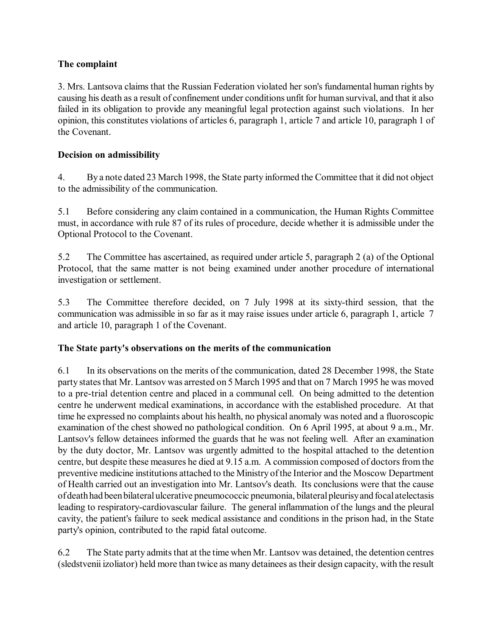## **The complaint**

3. Mrs. Lantsova claims that the Russian Federation violated her son's fundamental human rights by causing his death as a result of confinement under conditions unfit for human survival, and that it also failed in its obligation to provide any meaningful legal protection against such violations. In her opinion, this constitutes violations of articles 6, paragraph 1, article 7 and article 10, paragraph 1 of the Covenant.

## **Decision on admissibility**

4. By a note dated 23 March 1998, the State party informed the Committee that it did not object to the admissibility of the communication.

5.1 Before considering any claim contained in a communication, the Human Rights Committee must, in accordance with rule 87 of its rules of procedure, decide whether it is admissible under the Optional Protocol to the Covenant.

5.2 The Committee has ascertained, as required under article 5, paragraph 2 (a) of the Optional Protocol, that the same matter is not being examined under another procedure of international investigation or settlement.

5.3 The Committee therefore decided, on 7 July 1998 at its sixty-third session, that the communication was admissible in so far as it may raise issues under article 6, paragraph 1, article 7 and article 10, paragraph 1 of the Covenant.

## **The State party's observations on the merits of the communication**

6.1 In its observations on the merits of the communication, dated 28 December 1998, the State party states that Mr. Lantsov was arrested on 5 March 1995 and that on 7 March 1995 he was moved to a pre-trial detention centre and placed in a communal cell. On being admitted to the detention centre he underwent medical examinations, in accordance with the established procedure. At that time he expressed no complaints about his health, no physical anomaly was noted and a fluoroscopic examination of the chest showed no pathological condition. On 6 April 1995, at about 9 a.m., Mr. Lantsov's fellow detainees informed the guards that he was not feeling well. After an examination by the duty doctor, Mr. Lantsov was urgently admitted to the hospital attached to the detention centre, but despite these measures he died at 9.15 a.m. A commission composed of doctors from the preventive medicine institutions attached to the Ministry of the Interior and the Moscow Department of Health carried out an investigation into Mr. Lantsov's death. Its conclusions were that the cause of death had been bilateral ulcerative pneumococcic pneumonia, bilateral pleurisy and focal atelectasis leading to respiratory-cardiovascular failure. The general inflammation of the lungs and the pleural cavity, the patient's failure to seek medical assistance and conditions in the prison had, in the State party's opinion, contributed to the rapid fatal outcome.

6.2 The State party admits that at the time when Mr. Lantsov was detained, the detention centres (sledstvenii izoliator) held more than twice as many detainees as their design capacity, with the result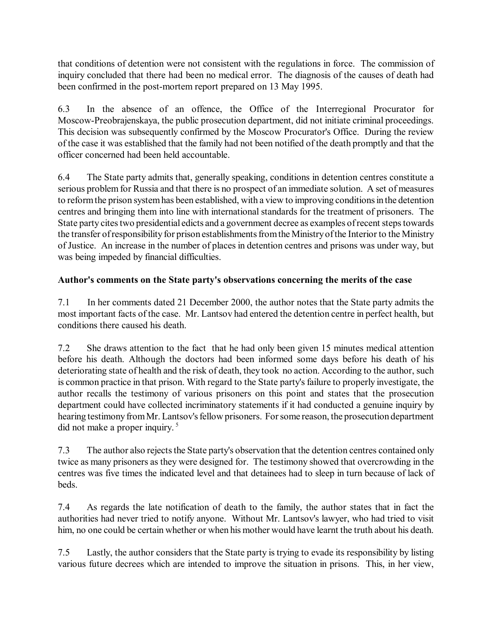that conditions of detention were not consistent with the regulations in force. The commission of inquiry concluded that there had been no medical error. The diagnosis of the causes of death had been confirmed in the post-mortem report prepared on 13 May 1995.

6.3 In the absence of an offence, the Office of the Interregional Procurator for Moscow-Preobrajenskaya, the public prosecution department, did not initiate criminal proceedings. This decision was subsequently confirmed by the Moscow Procurator's Office. During the review of the case it was established that the family had not been notified of the death promptly and that the officer concerned had been held accountable.

6.4 The State party admits that, generally speaking, conditions in detention centres constitute a serious problem for Russia and that there is no prospect of an immediate solution. A set of measures to reform the prison system has been established, with a view to improving conditions in the detention centres and bringing them into line with international standards for the treatment of prisoners. The State party cites two presidential edicts and a government decree as examples of recent steps towards the transfer of responsibility for prison establishments from the Ministry of the Interior to the Ministry of Justice. An increase in the number of places in detention centres and prisons was under way, but was being impeded by financial difficulties.

# **Author's comments on the State party's observations concerning the merits of the case**

7.1 In her comments dated 21 December 2000, the author notes that the State party admits the most important facts of the case. Mr. Lantsov had entered the detention centre in perfect health, but conditions there caused his death.

7.2 She draws attention to the fact that he had only been given 15 minutes medical attention before his death. Although the doctors had been informed some days before his death of his deteriorating state of health and the risk of death, they took no action. According to the author, such is common practice in that prison. With regard to the State party's failure to properly investigate, the author recalls the testimony of various prisoners on this point and states that the prosecution department could have collected incriminatory statements if it had conducted a genuine inquiry by hearing testimony from Mr. Lantsov's fellow prisoners. For some reason, the prosecution department did not make a proper inquiry.<sup>5</sup>

7.3 The author also rejects the State party's observation that the detention centres contained only twice as many prisoners as they were designed for. The testimony showed that overcrowding in the centres was five times the indicated level and that detainees had to sleep in turn because of lack of beds.

7.4 As regards the late notification of death to the family, the author states that in fact the authorities had never tried to notify anyone. Without Mr. Lantsov's lawyer, who had tried to visit him, no one could be certain whether or when his mother would have learnt the truth about his death.

7.5 Lastly, the author considers that the State party is trying to evade its responsibility by listing various future decrees which are intended to improve the situation in prisons. This, in her view,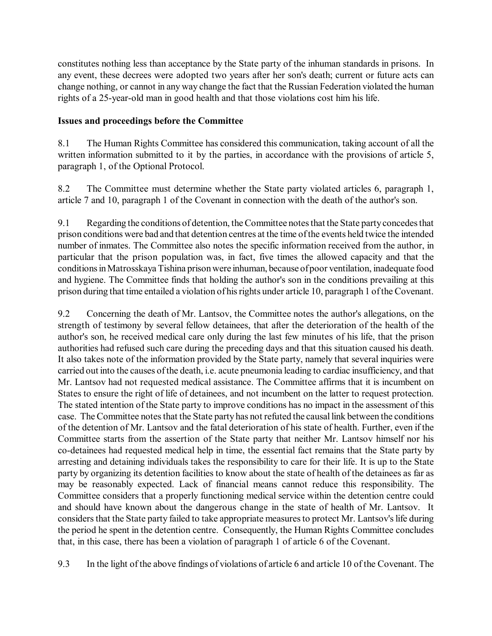constitutes nothing less than acceptance by the State party of the inhuman standards in prisons. In any event, these decrees were adopted two years after her son's death; current or future acts can change nothing, or cannot in any way change the fact that the Russian Federation violated the human rights of a 25-year-old man in good health and that those violations cost him his life.

## **Issues and proceedings before the Committee**

8.1 The Human Rights Committee has considered this communication, taking account of all the written information submitted to it by the parties, in accordance with the provisions of article 5, paragraph 1, of the Optional Protocol.

8.2 The Committee must determine whether the State party violated articles 6, paragraph 1, article 7 and 10, paragraph 1 of the Covenant in connection with the death of the author's son.

9.1 Regarding the conditions of detention, the Committee notes that the State party concedes that prison conditions were bad and that detention centres at the time of the events held twice the intended number of inmates. The Committee also notes the specific information received from the author, in particular that the prison population was, in fact, five times the allowed capacity and that the conditions in Matrosskaya Tishina prison were inhuman, because of poor ventilation, inadequate food and hygiene. The Committee finds that holding the author's son in the conditions prevailing at this prison during that time entailed a violation of his rights under article 10, paragraph 1 of the Covenant.

9.2 Concerning the death of Mr. Lantsov, the Committee notes the author's allegations, on the strength of testimony by several fellow detainees, that after the deterioration of the health of the author's son, he received medical care only during the last few minutes of his life, that the prison authorities had refused such care during the preceding days and that this situation caused his death. It also takes note of the information provided by the State party, namely that several inquiries were carried out into the causes of the death, i.e. acute pneumonia leading to cardiac insufficiency, and that Mr. Lantsov had not requested medical assistance. The Committee affirms that it is incumbent on States to ensure the right of life of detainees, and not incumbent on the latter to request protection. The stated intention of the State party to improve conditions has no impact in the assessment of this case. The Committee notes that the State party has not refuted the causal link between the conditions of the detention of Mr. Lantsov and the fatal deterioration of his state of health. Further, even if the Committee starts from the assertion of the State party that neither Mr. Lantsov himself nor his co-detainees had requested medical help in time, the essential fact remains that the State party by arresting and detaining individuals takes the responsibility to care for their life. It is up to the State party by organizing its detention facilities to know about the state of health of the detainees as far as may be reasonably expected. Lack of financial means cannot reduce this responsibility. The Committee considers that a properly functioning medical service within the detention centre could and should have known about the dangerous change in the state of health of Mr. Lantsov. It considers that the State party failed to take appropriate measures to protect Mr. Lantsov's life during the period he spent in the detention centre. Consequently, the Human Rights Committee concludes that, in this case, there has been a violation of paragraph 1 of article 6 of the Covenant.

9.3 In the light of the above findings of violations of article 6 and article 10 of the Covenant. The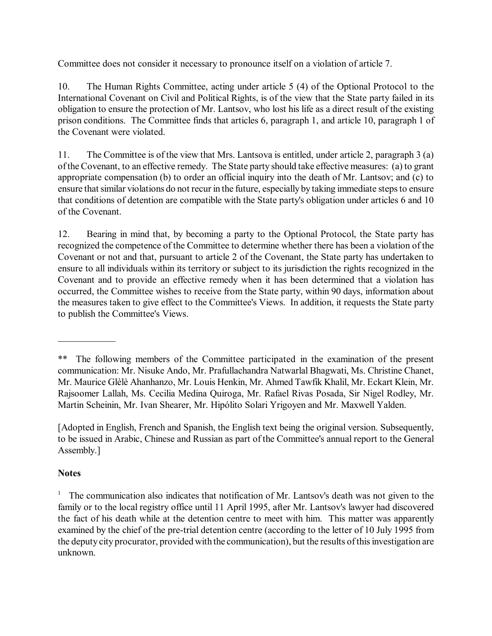Committee does not consider it necessary to pronounce itself on a violation of article 7.

10. The Human Rights Committee, acting under article 5 (4) of the Optional Protocol to the International Covenant on Civil and Political Rights, is of the view that the State party failed in its obligation to ensure the protection of Mr. Lantsov, who lost his life as a direct result of the existing prison conditions. The Committee finds that articles 6, paragraph 1, and article 10, paragraph 1 of the Covenant were violated.

11. The Committee is of the view that Mrs. Lantsova is entitled, under article 2, paragraph 3 (a) of the Covenant, to an effective remedy. The State party should take effective measures: (a) to grant appropriate compensation (b) to order an official inquiry into the death of Mr. Lantsov; and (c) to ensure that similar violations do not recur in the future, especially by taking immediate steps to ensure that conditions of detention are compatible with the State party's obligation under articles 6 and 10 of the Covenant.

12. Bearing in mind that, by becoming a party to the Optional Protocol, the State party has recognized the competence of the Committee to determine whether there has been a violation of the Covenant or not and that, pursuant to article 2 of the Covenant, the State party has undertaken to ensure to all individuals within its territory or subject to its jurisdiction the rights recognized in the Covenant and to provide an effective remedy when it has been determined that a violation has occurred, the Committee wishes to receive from the State party, within 90 days, information about the measures taken to give effect to the Committee's Views. In addition, it requests the State party to publish the Committee's Views.

[Adopted in English, French and Spanish, the English text being the original version. Subsequently, to be issued in Arabic, Chinese and Russian as part of the Committee's annual report to the General Assembly.]

# **Notes**

 $\mathcal{L}_\text{max}$ 

<sup>\*\*</sup> The following members of the Committee participated in the examination of the present communication: Mr. Nisuke Ando, Mr. Prafullachandra Natwarlal Bhagwati, Ms. Christine Chanet, Mr. Maurice Glèlè Ahanhanzo, Mr. Louis Henkin, Mr. Ahmed Tawfik Khalil, Mr. Eckart Klein, Mr. Rajsoomer Lallah, Ms. Cecilia Medina Quiroga, Mr. Rafael Rivas Posada, Sir Nigel Rodley, Mr. Martin Scheinin, Mr. Ivan Shearer, Mr. Hipólito Solari Yrigoyen and Mr. Maxwell Yalden.

<sup>&</sup>lt;sup>1</sup> The communication also indicates that notification of Mr. Lantsov's death was not given to the family or to the local registry office until 11 April 1995, after Mr. Lantsov's lawyer had discovered the fact of his death while at the detention centre to meet with him. This matter was apparently examined by the chief of the pre-trial detention centre (according to the letter of 10 July 1995 from the deputy city procurator, provided with the communication), but the results of this investigation are unknown.